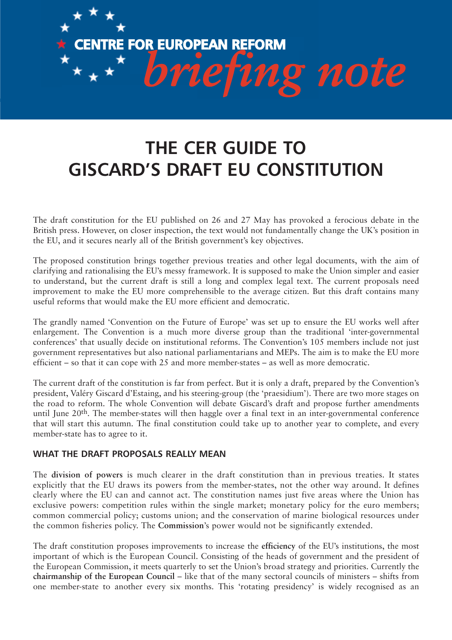

## **THE CER GUIDE TO GISCARD'S DRAFT EU CONSTITUTION**

The draft constitution for the EU published on 26 and 27 May has provoked a ferocious debate in the British press. However, on closer inspection, the text would not fundamentally change the UK's position in the EU, and it secures nearly all of the British government's key objectives.

The proposed constitution brings together previous treaties and other legal documents, with the aim of clarifying and rationalising the EU's messy framework. It is supposed to make the Union simpler and easier to understand, but the current draft is still a long and complex legal text. The current proposals need improvement to make the EU more comprehensible to the average citizen. But this draft contains many useful reforms that would make the EU more efficient and democratic.

The grandly named 'Convention on the Future of Europe' was set up to ensure the EU works well after enlargement. The Convention is a much more diverse group than the traditional 'inter-governmental conferences' that usually decide on institutional reforms. The Convention's 105 members include not just government representatives but also national parliamentarians and MEPs. The aim is to make the EU more efficient – so that it can cope with 25 and more member-states – as well as more democratic.

The current draft of the constitution is far from perfect. But it is only a draft, prepared by the Convention's president, Valéry Giscard d'Estaing, and his steering-group (the 'praesidium'). There are two more stages on the road to reform. The whole Convention will debate Giscard's draft and propose further amendments until June 20<sup>th</sup>. The member-states will then haggle over a final text in an inter-governmental conference that will start this autumn. The final constitution could take up to another year to complete, and every member-state has to agree to it.

## **WHAT THE DRAFT PROPOSALS REALLY MEAN**

The **division of powers** is much clearer in the draft constitution than in previous treaties. It states explicitly that the EU draws its powers from the member-states, not the other way around. It defines clearly where the EU can and cannot act. The constitution names just five areas where the Union has exclusive powers: competition rules within the single market; monetary policy for the euro members; common commercial policy; customs union; and the conservation of marine biological resources under the common fisheries policy. The **Commission**'s power would not be significantly extended.

The draft constitution proposes improvements to increase the **efficiency** of the EU's institutions, the most important of which is the European Council. Consisting of the heads of government and the president of the European Commission, it meets quarterly to set the Union's broad strategy and priorities. Currently the **chairmanship of the European Council** – like that of the many sectoral councils of ministers – shifts from one member-state to another every six months. This 'rotating presidency' is widely recognised as an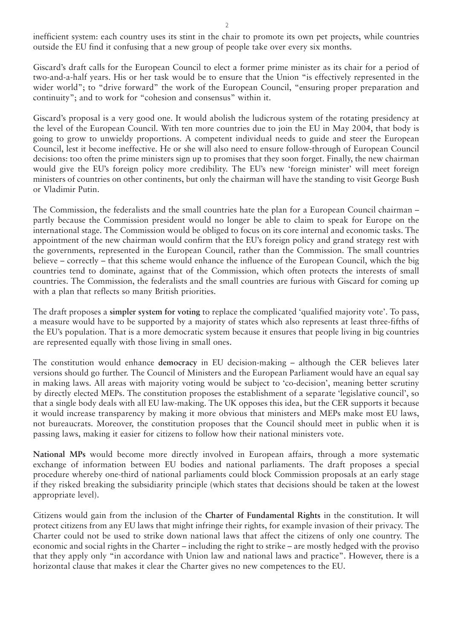inefficient system: each country uses its stint in the chair to promote its own pet projects, while countries outside the EU find it confusing that a new group of people take over every six months.

Giscard's draft calls for the European Council to elect a former prime minister as its chair for a period of two-and-a-half years. His or her task would be to ensure that the Union "is effectively represented in the wider world"; to "drive forward" the work of the European Council, "ensuring proper preparation and continuity"; and to work for "cohesion and consensus" within it.

Giscard's proposal is a very good one. It would abolish the ludicrous system of the rotating presidency at the level of the European Council. With ten more countries due to join the EU in May 2004, that body is going to grow to unwieldy proportions. A competent individual needs to guide and steer the European Council, lest it become ineffective. He or she will also need to ensure follow-through of European Council decisions: too often the prime ministers sign up to promises that they soon forget. Finally, the new chairman would give the EU's foreign policy more credibility. The EU's new 'foreign minister' will meet foreign ministers of countries on other continents, but only the chairman will have the standing to visit George Bush or Vladimir Putin.

The Commission, the federalists and the small countries hate the plan for a European Council chairman – partly because the Commission president would no longer be able to claim to speak for Europe on the international stage. The Commission would be obliged to focus on its core internal and economic tasks. The appointment of the new chairman would confirm that the EU's foreign policy and grand strategy rest with the governments, represented in the European Council, rather than the Commission. The small countries believe – correctly – that this scheme would enhance the influence of the European Council, which the big countries tend to dominate, against that of the Commission, which often protects the interests of small countries. The Commission, the federalists and the small countries are furious with Giscard for coming up with a plan that reflects so many British priorities.

The draft proposes a **simpler system for voting** to replace the complicated 'qualified majority vote'. To pass, a measure would have to be supported by a majority of states which also represents at least three-fifths of the EU's population. That is a more democratic system because it ensures that people living in big countries are represented equally with those living in small ones.

The constitution would enhance **democracy** in EU decision-making – although the CER believes later versions should go further. The Council of Ministers and the European Parliament would have an equal say in making laws. All areas with majority voting would be subject to 'co-decision', meaning better scrutiny by directly elected MEPs. The constitution proposes the establishment of a separate 'legislative council', so that a single body deals with all EU law-making. The UK opposes this idea, but the CER supports it because it would increase transparency by making it more obvious that ministers and MEPs make most EU laws, not bureaucrats. Moreover, the constitution proposes that the Council should meet in public when it is passing laws, making it easier for citizens to follow how their national ministers vote.

**National MPs** would become more directly involved in European affairs, through a more systematic exchange of information between EU bodies and national parliaments. The draft proposes a special procedure whereby one-third of national parliaments could block Commission proposals at an early stage if they risked breaking the subsidiarity principle (which states that decisions should be taken at the lowest appropriate level).

Citizens would gain from the inclusion of the **Charter of Fundamental Rights** in the constitution. It will protect citizens from any EU laws that might infringe their rights, for example invasion of their privacy. The Charter could not be used to strike down national laws that affect the citizens of only one country. The economic and social rights in the Charter – including the right to strike – are mostly hedged with the proviso that they apply only "in accordance with Union law and national laws and practice". However, there is a horizontal clause that makes it clear the Charter gives no new competences to the EU.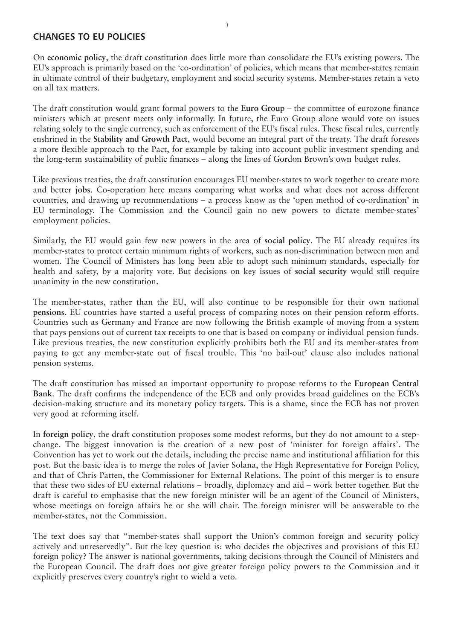## **CHANGES TO EU POLICIES**

On **economic policy**, the draft constitution does little more than consolidate the EU's existing powers. The EU's approach is primarily based on the 'co-ordination' of policies, which means that member-states remain in ultimate control of their budgetary, employment and social security systems. Member-states retain a veto on all tax matters.

The draft constitution would grant formal powers to the **Euro Group** – the committee of eurozone finance ministers which at present meets only informally. In future, the Euro Group alone would vote on issues relating solely to the single currency, such as enforcement of the EU's fiscal rules. These fiscal rules, currently enshrined in the **Stability and Growth Pact**, would become an integral part of the treaty. The draft foresees a more flexible approach to the Pact, for example by taking into account public investment spending and the long-term sustainability of public finances – along the lines of Gordon Brown's own budget rules.

Like previous treaties, the draft constitution encourages EU member-states to work together to create more and better **jobs**. Co-operation here means comparing what works and what does not across different countries, and drawing up recommendations – a process know as the 'open method of co-ordination' in EU terminology. The Commission and the Council gain no new powers to dictate member-states' employment policies.

Similarly, the EU would gain few new powers in the area of **social policy**. The EU already requires its member-states to protect certain minimum rights of workers, such as non-discrimination between men and women. The Council of Ministers has long been able to adopt such minimum standards, especially for health and safety, by a majority vote. But decisions on key issues of **social security** would still require unanimity in the new constitution.

The member-states, rather than the EU, will also continue to be responsible for their own national **pensions**. EU countries have started a useful process of comparing notes on their pension reform efforts. Countries such as Germany and France are now following the British example of moving from a system that pays pensions out of current tax receipts to one that is based on company or individual pension funds. Like previous treaties, the new constitution explicitly prohibits both the EU and its member-states from paying to get any member-state out of fiscal trouble. This 'no bail-out' clause also includes national pension systems.

The draft constitution has missed an important opportunity to propose reforms to the **European Central Bank**. The draft confirms the independence of the ECB and only provides broad guidelines on the ECB's decision-making structure and its monetary policy targets. This is a shame, since the ECB has not proven very good at reforming itself.

In **foreign policy**, the draft constitution proposes some modest reforms, but they do not amount to a stepchange. The biggest innovation is the creation of a new post of 'minister for foreign affairs'. The Convention has yet to work out the details, including the precise name and institutional affiliation for this post. But the basic idea is to merge the roles of Javier Solana, the High Representative for Foreign Policy, and that of Chris Patten, the Commissioner for External Relations. The point of this merger is to ensure that these two sides of EU external relations – broadly, diplomacy and aid – work better together. But the draft is careful to emphasise that the new foreign minister will be an agent of the Council of Ministers, whose meetings on foreign affairs he or she will chair. The foreign minister will be answerable to the member-states, not the Commission.

The text does say that "member-states shall support the Union's common foreign and security policy actively and unreservedly". But the key question is: who decides the objectives and provisions of this EU foreign policy? The answer is national governments, taking decisions through the Council of Ministers and the European Council. The draft does not give greater foreign policy powers to the Commission and it explicitly preserves every country's right to wield a veto.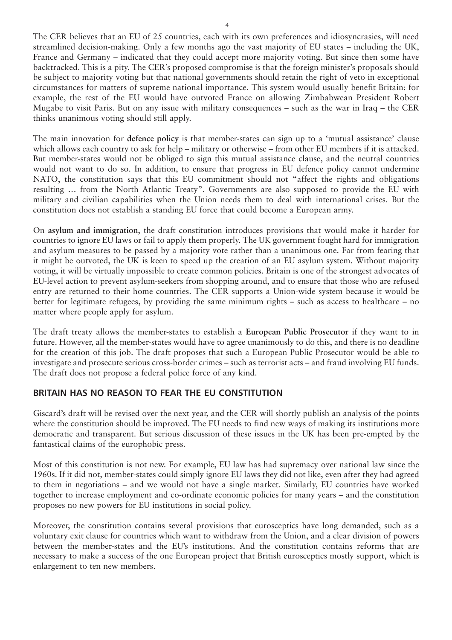The CER believes that an EU of 25 countries, each with its own preferences and idiosyncrasies, will need streamlined decision-making. Only a few months ago the vast majority of EU states – including the UK, France and Germany – indicated that they could accept more majority voting. But since then some have backtracked. This is a pity. The CER's proposed compromise is that the foreign minister's proposals should be subject to majority voting but that national governments should retain the right of veto in exceptional circumstances for matters of supreme national importance. This system would usually benefit Britain: for example, the rest of the EU would have outvoted France on allowing Zimbabwean President Robert Mugabe to visit Paris. But on any issue with military consequences – such as the war in Iraq – the CER thinks unanimous voting should still apply.

The main innovation for **defence policy** is that member-states can sign up to a 'mutual assistance' clause which allows each country to ask for help – military or otherwise – from other EU members if it is attacked. But member-states would not be obliged to sign this mutual assistance clause, and the neutral countries would not want to do so. In addition, to ensure that progress in EU defence policy cannot undermine NATO, the constitution says that this EU commitment should not "affect the rights and obligations resulting … from the North Atlantic Treaty". Governments are also supposed to provide the EU with military and civilian capabilities when the Union needs them to deal with international crises. But the constitution does not establish a standing EU force that could become a European army.

On **asylum and immigration**, the draft constitution introduces provisions that would make it harder for countries to ignore EU laws or fail to apply them properly. The UK government fought hard for immigration and asylum measures to be passed by a majority vote rather than a unanimous one. Far from fearing that it might be outvoted, the UK is keen to speed up the creation of an EU asylum system. Without majority voting, it will be virtually impossible to create common policies. Britain is one of the strongest advocates of EU-level action to prevent asylum-seekers from shopping around, and to ensure that those who are refused entry are returned to their home countries. The CER supports a Union-wide system because it would be better for legitimate refugees, by providing the same minimum rights – such as access to healthcare – no matter where people apply for asylum.

The draft treaty allows the member-states to establish a **European Public Prosecutor** if they want to in future. However, all the member-states would have to agree unanimously to do this, and there is no deadline for the creation of this job. The draft proposes that such a European Public Prosecutor would be able to investigate and prosecute serious cross-border crimes – such as terrorist acts – and fraud involving EU funds. The draft does not propose a federal police force of any kind.

## **BRITAIN HAS NO REASON TO FEAR THE EU CONSTITUTION**

Giscard's draft will be revised over the next year, and the CER will shortly publish an analysis of the points where the constitution should be improved. The EU needs to find new ways of making its institutions more democratic and transparent. But serious discussion of these issues in the UK has been pre-empted by the fantastical claims of the europhobic press.

Most of this constitution is not new. For example, EU law has had supremacy over national law since the 1960s. If it did not, member-states could simply ignore EU laws they did not like, even after they had agreed to them in negotiations – and we would not have a single market. Similarly, EU countries have worked together to increase employment and co-ordinate economic policies for many years – and the constitution proposes no new powers for EU institutions in social policy.

Moreover, the constitution contains several provisions that eurosceptics have long demanded, such as a voluntary exit clause for countries which want to withdraw from the Union, and a clear division of powers between the member-states and the EU's institutions. And the constitution contains reforms that are necessary to make a success of the one European project that British eurosceptics mostly support, which is enlargement to ten new members.